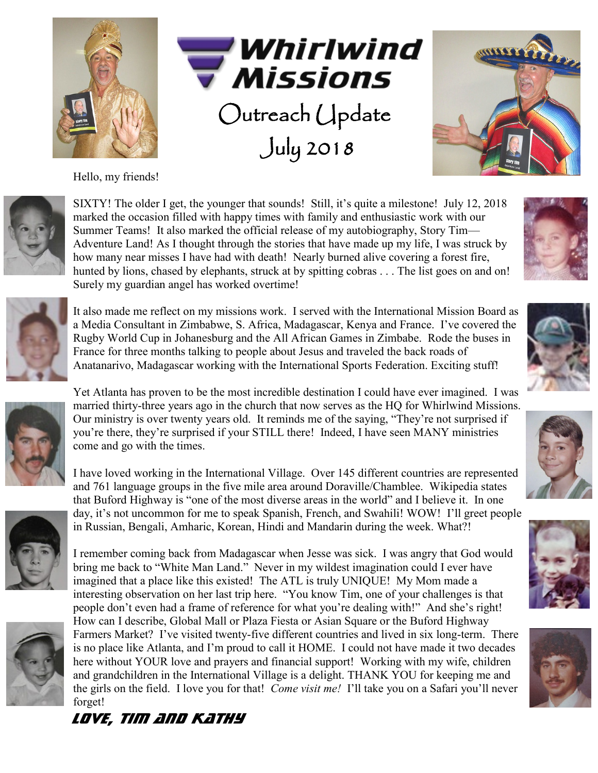

Hello, my friends!





SIXTY! The older I get, the younger that sounds! Still, it's quite a milestone! July 12, 2018 marked the occasion filled with happy times with family and enthusiastic work with our Summer Teams! It also marked the official release of my autobiography, Story Tim— Adventure Land! As I thought through the stories that have made up my life, I was struck by how many near misses I have had with death! Nearly burned alive covering a forest fire, hunted by lions, chased by elephants, struck at by spitting cobras . . . The list goes on and on! Surely my guardian angel has worked overtime!

Outreach Update

*Will Will* 

July 2018



It also made me reflect on my missions work. I served with the International Mission Board as a Media Consultant in Zimbabwe, S. Africa, Madagascar, Kenya and France. I've covered the Rugby World Cup in Johanesburg and the All African Games in Zimbabe. Rode the buses in France for three months talking to people about Jesus and traveled the back roads of Anatanarivo, Madagascar working with the International Sports Federation. Exciting stuff!



Yet Atlanta has proven to be the most incredible destination I could have ever imagined. I was married thirty-three years ago in the church that now serves as the HQ for Whirlwind Missions. Our ministry is over twenty years old. It reminds me of the saying, "They're not surprised if you're there, they're surprised if your STILL there! Indeed, I have seen MANY ministries come and go with the times.

I have loved working in the International Village. Over 145 different countries are represented and 761 language groups in the five mile area around Doraville/Chamblee. Wikipedia states that Buford Highway is "one of the most diverse areas in the world" and I believe it. In one day, it's not uncommon for me to speak Spanish, French, and Swahili! WOW! I'll greet people in Russian, Bengali, Amharic, Korean, Hindi and Mandarin during the week. What?!





I remember coming back from Madagascar when Jesse was sick. I was angry that God would bring me back to "White Man Land." Never in my wildest imagination could I ever have imagined that a place like this existed! The ATL is truly UNIQUE! My Mom made a interesting observation on her last trip here. "You know Tim, one of your challenges is that people don't even had a frame of reference for what you're dealing with!" And she's right! How can I describe, Global Mall or Plaza Fiesta or Asian Square or the Buford Highway Farmers Market? I've visited twenty-five different countries and lived in six long-term. There is no place like Atlanta, and I'm proud to call it HOME. I could not have made it two decades here without YOUR love and prayers and financial support! Working with my wife, children and grandchildren in the International Village is a delight. THANK YOU for keeping me and the girls on the field. I love you for that! *Come visit me!* I'll take you on a Safari you'll never forget!











*LOVE, Tim and Kathy*